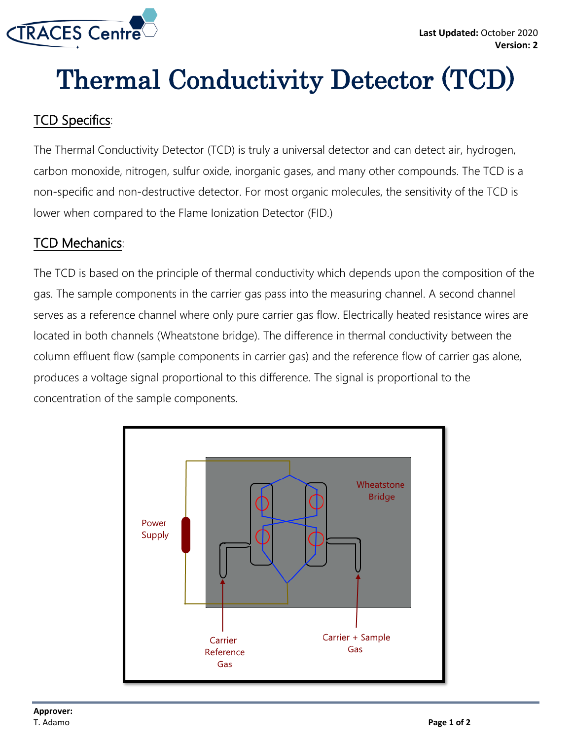

# Thermal Conductivity Detector (TCD)

# TCD Specifics:

The Thermal Conductivity Detector (TCD) is truly a universal detector and can detect air, hydrogen, carbon monoxide, nitrogen, sulfur oxide, inorganic gases, and many other compounds. The TCD is a non-specific and non-destructive detector. For most organic molecules, the sensitivity of the TCD is lower when compared to the Flame Ionization Detector (FID.)

#### TCD Mechanics:

The TCD is based on the principle of thermal conductivity which depends upon the composition of the gas. The sample components in the carrier gas pass into the measuring channel. A second channel serves as a reference channel where only pure carrier gas flow. Electrically heated resistance wires are located in both channels (Wheatstone bridge). The difference in thermal conductivity between the column effluent flow (sample components in carrier gas) and the reference flow of carrier gas alone, produces a voltage signal proportional to this difference. The signal is proportional to the concentration of the sample components.